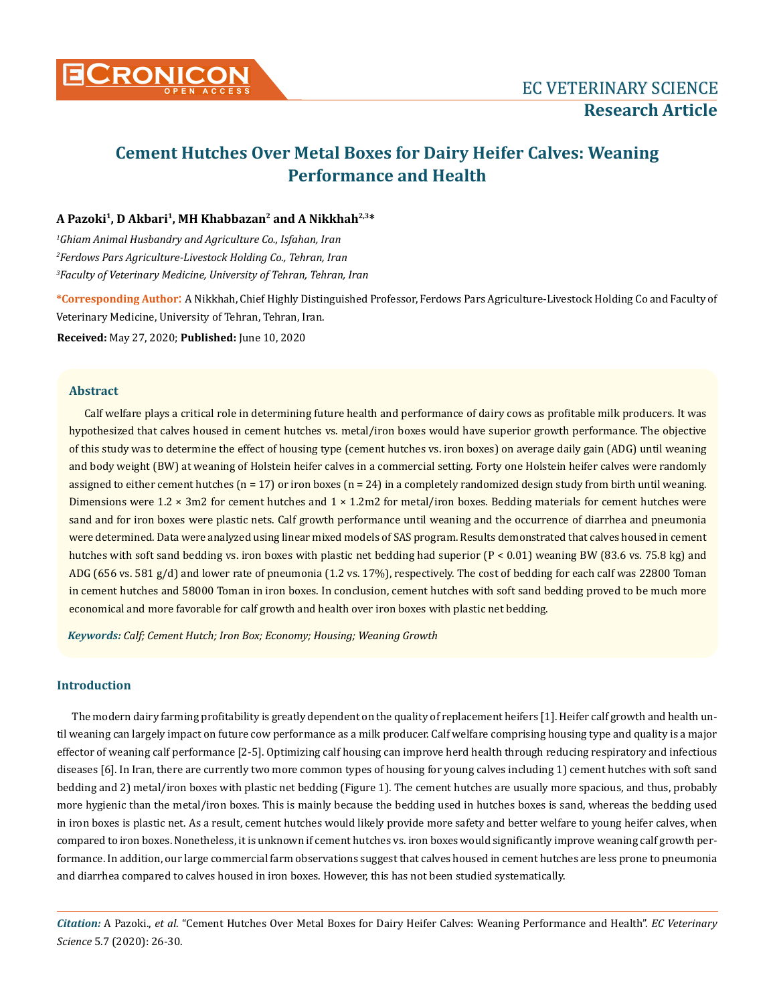

# **Cement Hutches Over Metal Boxes for Dairy Heifer Calves: Weaning Performance and Health**

# **A Pazoki1, D Akbari1, MH Khabbazan2 and A Nikkhah2,3\***

*1 Ghiam Animal Husbandry and Agriculture Co., Isfahan, Iran 2 Ferdows Pars Agriculture-Livestock Holding Co., Tehran, Iran 3 Faculty of Veterinary Medicine, University of Tehran, Tehran, Iran*

**\*Corresponding Author**: A Nikkhah, Chief Highly Distinguished Professor, Ferdows Pars Agriculture-Livestock Holding Co and Faculty of Veterinary Medicine, University of Tehran, Tehran, Iran.

**Received:** May 27, 2020; **Published:** June 10, 2020

### **Abstract**

Calf welfare plays a critical role in determining future health and performance of dairy cows as profitable milk producers. It was hypothesized that calves housed in cement hutches vs. metal/iron boxes would have superior growth performance. The objective of this study was to determine the effect of housing type (cement hutches vs. iron boxes) on average daily gain (ADG) until weaning and body weight (BW) at weaning of Holstein heifer calves in a commercial setting. Forty one Holstein heifer calves were randomly assigned to either cement hutches ( $n = 17$ ) or iron boxes ( $n = 24$ ) in a completely randomized design study from birth until weaning. Dimensions were  $1.2 \times 3$ m2 for cement hutches and  $1 \times 1.2$ m2 for metal/iron boxes. Bedding materials for cement hutches were sand and for iron boxes were plastic nets. Calf growth performance until weaning and the occurrence of diarrhea and pneumonia were determined. Data were analyzed using linear mixed models of SAS program. Results demonstrated that calves housed in cement hutches with soft sand bedding vs. iron boxes with plastic net bedding had superior  $(P < 0.01)$  weaning BW (83.6 vs. 75.8 kg) and ADG (656 vs. 581 g/d) and lower rate of pneumonia (1.2 vs. 17%), respectively. The cost of bedding for each calf was 22800 Toman in cement hutches and 58000 Toman in iron boxes. In conclusion, cement hutches with soft sand bedding proved to be much more economical and more favorable for calf growth and health over iron boxes with plastic net bedding.

*Keywords: Calf; Cement Hutch; Iron Box; Economy; Housing; Weaning Growth*

#### **Introduction**

The modern dairy farming profitability is greatly dependent on the quality of replacement heifers [1]. Heifer calf growth and health until weaning can largely impact on future cow performance as a milk producer. Calf welfare comprising housing type and quality is a major effector of weaning calf performance [2-5]. Optimizing calf housing can improve herd health through reducing respiratory and infectious diseases [6]. In Iran, there are currently two more common types of housing for young calves including 1) cement hutches with soft sand bedding and 2) metal/iron boxes with plastic net bedding (Figure 1). The cement hutches are usually more spacious, and thus, probably more hygienic than the metal/iron boxes. This is mainly because the bedding used in hutches boxes is sand, whereas the bedding used in iron boxes is plastic net. As a result, cement hutches would likely provide more safety and better welfare to young heifer calves, when compared to iron boxes. Nonetheless, it is unknown if cement hutches vs. iron boxes would significantly improve weaning calf growth performance. In addition, our large commercial farm observations suggest that calves housed in cement hutches are less prone to pneumonia and diarrhea compared to calves housed in iron boxes. However, this has not been studied systematically.

*Citation:* A Pazoki., *et al*. "Cement Hutches Over Metal Boxes for Dairy Heifer Calves: Weaning Performance and Health". *EC Veterinary Science* 5.7 (2020): 26-30.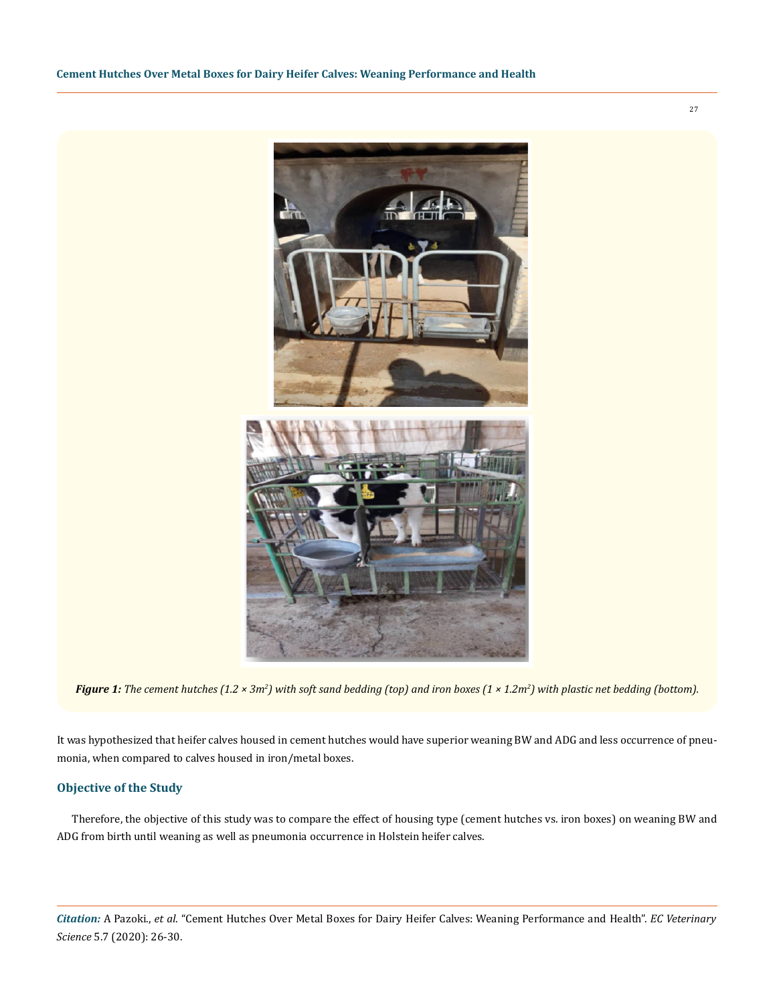

Figure 1: The cement hutches (1.2 × 3m<sup>2</sup>) with soft sand bedding (top) and iron boxes (1 × 1.2m<sup>2</sup>) with plastic net bedding (bottom).

It was hypothesized that heifer calves housed in cement hutches would have superior weaning BW and ADG and less occurrence of pneumonia, when compared to calves housed in iron/metal boxes.

# **Objective of the Study**

Therefore, the objective of this study was to compare the effect of housing type (cement hutches vs. iron boxes) on weaning BW and ADG from birth until weaning as well as pneumonia occurrence in Holstein heifer calves.

*Citation:* A Pazoki., *et al*. "Cement Hutches Over Metal Boxes for Dairy Heifer Calves: Weaning Performance and Health". *EC Veterinary Science* 5.7 (2020): 26-30.

27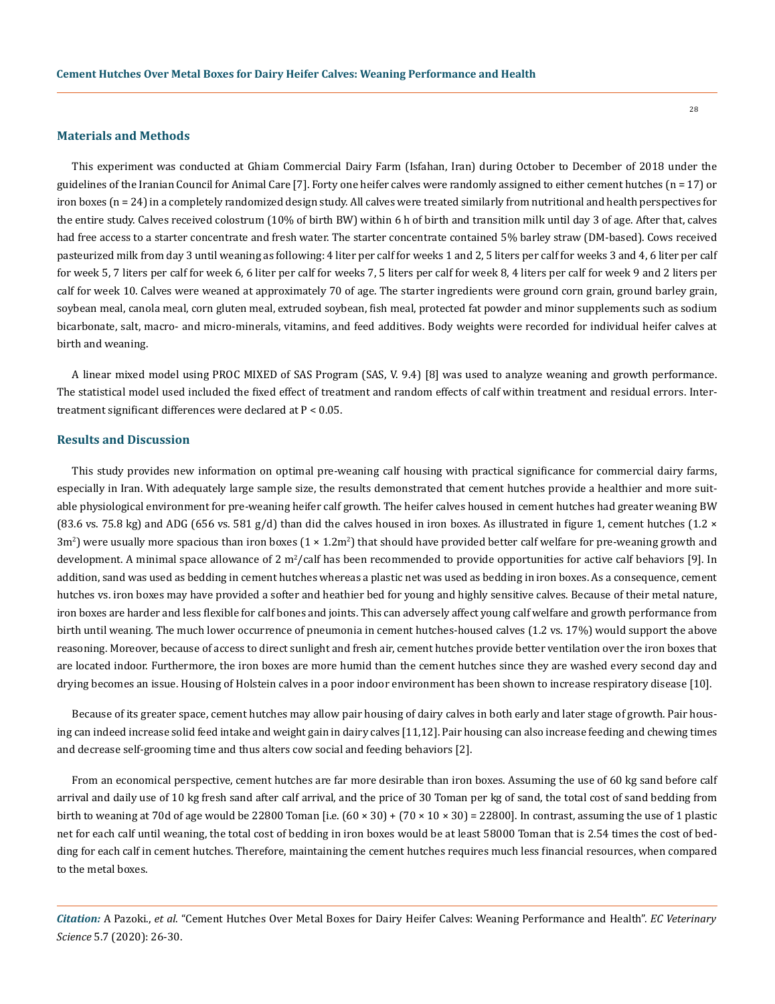#### **Materials and Methods**

This experiment was conducted at Ghiam Commercial Dairy Farm (Isfahan, Iran) during October to December of 2018 under the guidelines of the Iranian Council for Animal Care [7]. Forty one heifer calves were randomly assigned to either cement hutches (n = 17) or iron boxes (n = 24) in a completely randomized design study. All calves were treated similarly from nutritional and health perspectives for the entire study. Calves received colostrum (10% of birth BW) within 6 h of birth and transition milk until day 3 of age. After that, calves had free access to a starter concentrate and fresh water. The starter concentrate contained 5% barley straw (DM-based). Cows received pasteurized milk from day 3 until weaning as following: 4 liter per calf for weeks 1 and 2, 5 liters per calf for weeks 3 and 4, 6 liter per calf for week 5, 7 liters per calf for week 6, 6 liter per calf for weeks 7, 5 liters per calf for week 8, 4 liters per calf for week 9 and 2 liters per calf for week 10. Calves were weaned at approximately 70 of age. The starter ingredients were ground corn grain, ground barley grain, soybean meal, canola meal, corn gluten meal, extruded soybean, fish meal, protected fat powder and minor supplements such as sodium bicarbonate, salt, macro- and micro-minerals, vitamins, and feed additives. Body weights were recorded for individual heifer calves at birth and weaning.

A linear mixed model using PROC MIXED of SAS Program (SAS, V. 9.4) [8] was used to analyze weaning and growth performance. The statistical model used included the fixed effect of treatment and random effects of calf within treatment and residual errors. Intertreatment significant differences were declared at P < 0.05.

# **Results and Discussion**

This study provides new information on optimal pre-weaning calf housing with practical significance for commercial dairy farms, especially in Iran. With adequately large sample size, the results demonstrated that cement hutches provide a healthier and more suitable physiological environment for pre-weaning heifer calf growth. The heifer calves housed in cement hutches had greater weaning BW (83.6 vs. 75.8 kg) and ADG (656 vs. 581 g/d) than did the calves housed in iron boxes. As illustrated in figure 1, cement hutches (1.2  $\times$ 3m<sup>2</sup>) were usually more spacious than iron boxes (1 × 1.2m<sup>2</sup>) that should have provided better calf welfare for pre-weaning growth and development. A minimal space allowance of 2 m<sup>2</sup>/calf has been recommended to provide opportunities for active calf behaviors [9]. In addition, sand was used as bedding in cement hutches whereas a plastic net was used as bedding in iron boxes. As a consequence, cement hutches vs. iron boxes may have provided a softer and heathier bed for young and highly sensitive calves. Because of their metal nature, iron boxes are harder and less flexible for calf bones and joints. This can adversely affect young calf welfare and growth performance from birth until weaning. The much lower occurrence of pneumonia in cement hutches-housed calves (1.2 vs. 17%) would support the above reasoning. Moreover, because of access to direct sunlight and fresh air, cement hutches provide better ventilation over the iron boxes that are located indoor. Furthermore, the iron boxes are more humid than the cement hutches since they are washed every second day and drying becomes an issue. Housing of Holstein calves in a poor indoor environment has been shown to increase respiratory disease [10].

Because of its greater space, cement hutches may allow pair housing of dairy calves in both early and later stage of growth. Pair housing can indeed increase solid feed intake and weight gain in dairy calves [11,12]. Pair housing can also increase feeding and chewing times and decrease self-grooming time and thus alters cow social and feeding behaviors [2].

From an economical perspective, cement hutches are far more desirable than iron boxes. Assuming the use of 60 kg sand before calf arrival and daily use of 10 kg fresh sand after calf arrival, and the price of 30 Toman per kg of sand, the total cost of sand bedding from birth to weaning at 70d of age would be 22800 Toman [i.e.  $(60 \times 30) + (70 \times 10 \times 30) = 22800$ ]. In contrast, assuming the use of 1 plastic net for each calf until weaning, the total cost of bedding in iron boxes would be at least 58000 Toman that is 2.54 times the cost of bedding for each calf in cement hutches. Therefore, maintaining the cement hutches requires much less financial resources, when compared to the metal boxes.

*Citation:* A Pazoki., *et al*. "Cement Hutches Over Metal Boxes for Dairy Heifer Calves: Weaning Performance and Health". *EC Veterinary Science* 5.7 (2020): 26-30.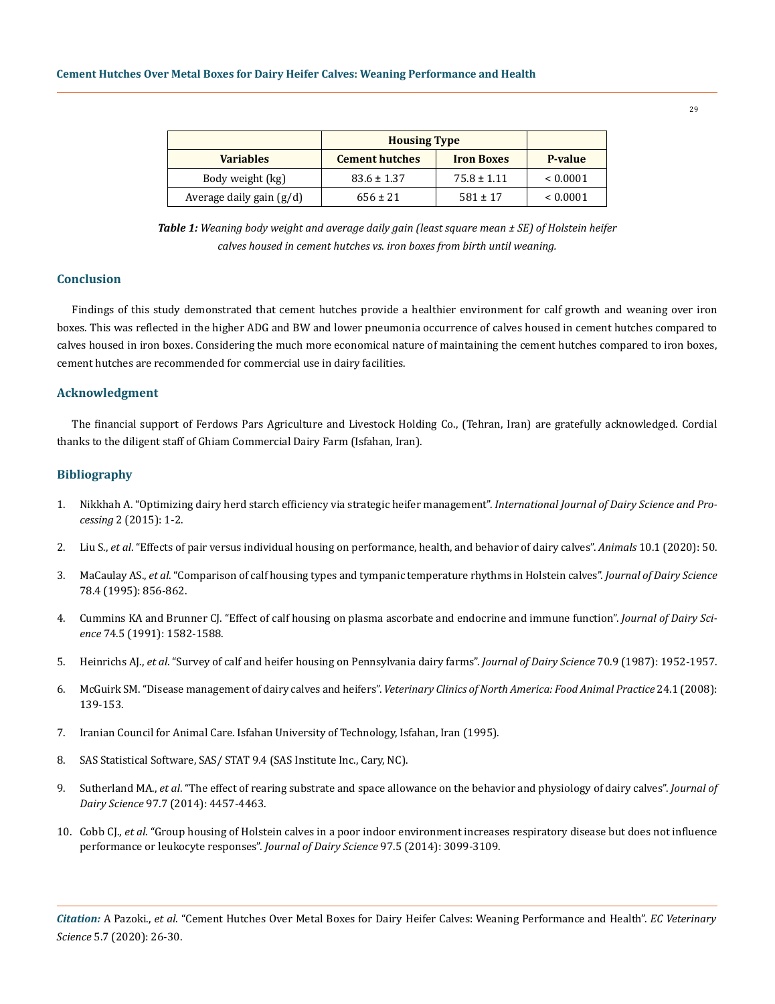|                            | <b>Housing Type</b>   |                   |               |
|----------------------------|-----------------------|-------------------|---------------|
| <b>Variables</b>           | <b>Cement hutches</b> | <b>Iron Boxes</b> | P-value       |
| Body weight (kg)           | $83.6 \pm 1.37$       | $75.8 \pm 1.11$   | ${}< 0.0001$  |
| Average daily gain $(g/d)$ | $656 \pm 21$          | $581 \pm 17$      | ${}_{0.0001}$ |

*Table 1: Weaning body weight and average daily gain (least square mean ± SE) of Holstein heifer calves housed in cement hutches vs. iron boxes from birth until weaning.*

# **Conclusion**

Findings of this study demonstrated that cement hutches provide a healthier environment for calf growth and weaning over iron boxes. This was reflected in the higher ADG and BW and lower pneumonia occurrence of calves housed in cement hutches compared to calves housed in iron boxes. Considering the much more economical nature of maintaining the cement hutches compared to iron boxes, cement hutches are recommended for commercial use in dairy facilities.

## **Acknowledgment**

The financial support of Ferdows Pars Agriculture and Livestock Holding Co., (Tehran, Iran) are gratefully acknowledged. Cordial thanks to the diligent staff of Ghiam Commercial Dairy Farm (Isfahan, Iran).

## **Bibliography**

- 1. [Nikkhah A. "Optimizing dairy herd starch efficiency via strategic heifer management".](https://www.researchgate.net/publication/287377279_Optimizing_Dairy_Herd_Starch_Efficiency_via_Strategic_Heifer_Management) *International Journal of Dairy Science and Processing* [2 \(2015\): 1-2.](https://www.researchgate.net/publication/287377279_Optimizing_Dairy_Herd_Starch_Efficiency_via_Strategic_Heifer_Management)
- 2. Liu S., *et al*[. "Effects of pair versus individual housing on performance, health, and behavior of dairy calves".](https://www.ncbi.nlm.nih.gov/pmc/articles/PMC7023319/) *Animals* 10.1 (2020): 50.
- 3. MaCaulay AS., *et al*[. "Comparison of calf housing types and tympanic temperature rhythms in Holstein calves".](https://pubmed.ncbi.nlm.nih.gov/7790576/) *Journal of Dairy Science*  [78.4 \(1995\): 856-862.](https://pubmed.ncbi.nlm.nih.gov/7790576/)
- 4. [Cummins KA and Brunner CJ. "Effect of calf housing on plasma ascorbate and endocrine and immune function".](https://pubmed.ncbi.nlm.nih.gov/1880267/) *Journal of Dairy Science* [74.5 \(1991\): 1582-1588.](https://pubmed.ncbi.nlm.nih.gov/1880267/)
- 5. Heinrichs AJ., *et al*[. "Survey of calf and heifer housing on Pennsylvania dairy farms".](https://pubmed.ncbi.nlm.nih.gov/3668052/) *Journal of Dairy Science* 70.9 (1987): 1952-1957.
- 6. McGuirk SM. "Disease management of dairy calves and heifers". *[Veterinary Clinics of North America: Food Animal Practice](https://pubmed.ncbi.nlm.nih.gov/18299036/)* 24.1 (2008): [139-153.](https://pubmed.ncbi.nlm.nih.gov/18299036/)
- 7. Iranian Council for Animal Care. Isfahan University of Technology, Isfahan, Iran (1995).
- 8. [SAS Statistical Software, SAS/ STAT 9.4 \(SAS Institute Inc., Cary, NC\).](https://www.sas.com/en_in/software/sas9.html)
- 9. Sutherland MA., *et al*[. "The effect of rearing substrate and space allowance on the behavior and physiology of dairy calves".](https://pubmed.ncbi.nlm.nih.gov/24792793/) *Journal of Dairy Science* [97.7 \(2014\): 4457-4463.](https://pubmed.ncbi.nlm.nih.gov/24792793/)
- 10. Cobb CJ., *et al*[. "Group housing of Holstein calves in a poor indoor environment increases respiratory disease but does not influence](https://www.researchgate.net/publication/260606856_Group_housing_of_Holstein_calves_in_a_poor_indoor_environment_increases_respiratory_disease_but_does_not_influence_performance_or_leukocyte_responses) [performance or leukocyte responses".](https://www.researchgate.net/publication/260606856_Group_housing_of_Holstein_calves_in_a_poor_indoor_environment_increases_respiratory_disease_but_does_not_influence_performance_or_leukocyte_responses) *Journal of Dairy Science* 97.5 (2014): 3099-3109.

29